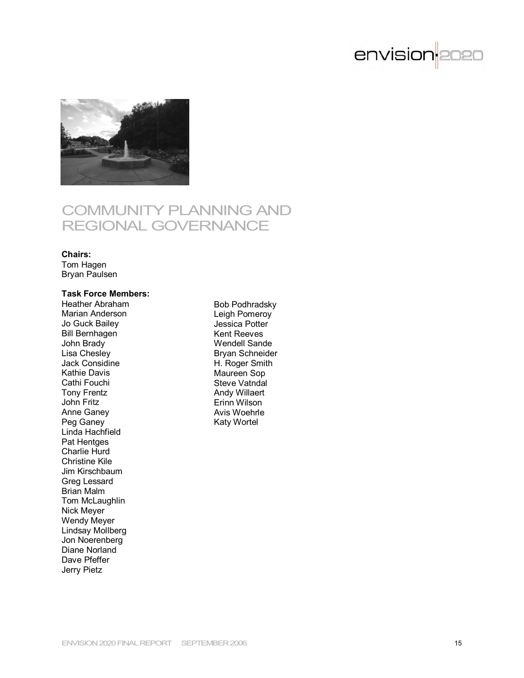



# COMMUNITY PLANNING AND REGIONAL GOVERNANCE

#### **Chairs:**

Tom Hagen Bryan Paulsen

# **Task Force Members:**

Heather Abraham Marian Anderson Jo Guck Bailey Bill Bernhagen John Brady Lisa Chesley Jack Considine Kathie Davis Cathi Fouchi Tony Frentz John Fritz Anne Ganey Peg Ganey Linda Hachfield Pat Hentges Charlie Hurd Christine Kile Jim Kirschbaum Greg Lessard Brian Malm Tom McLaughlin Nick Meyer Wendy Meyer Lindsay Mollberg Jon Noerenberg Diane Norland Dave Pfeffer Jerry Pietz

Bob Podhradsky Leigh Pomeroy Jessica Potter Kent Reeves Wendell Sande Bryan Schneider H. Roger Smith Maureen Sop Steve Vatndal Andy Willaert Erinn Wilson Avis Woehrle Katy Wortel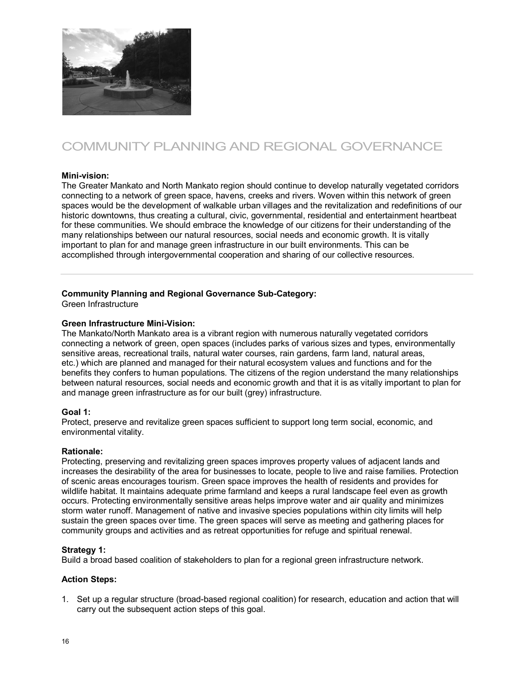

# COMMUNITY PLANNING AND REGIONAL GOVERNANCE

# **Mini-vision:**

The Greater Mankato and North Mankato region should continue to develop naturally vegetated corridors connecting to a network of green space, havens, creeks and rivers. Woven within this network of green spaces would be the development of walkable urban villages and the revitalization and redefinitions of our historic downtowns, thus creating a cultural, civic, governmental, residential and entertainment heartbeat for these communities. We should embrace the knowledge of our citizens for their understanding of the many relationships between our natural resources, social needs and economic growth. It is vitally important to plan for and manage green infrastructure in our built environments. This can be accomplished through intergovernmental cooperation and sharing of our collective resources.

# **Community Planning and Regional Governance Sub-Category:**

Green Infrastructure

# **Green Infrastructure Mini-Vision:**

The Mankato/North Mankato area is a vibrant region with numerous naturally vegetated corridors connecting a network of green, open spaces (includes parks of various sizes and types, environmentally sensitive areas, recreational trails, natural water courses, rain gardens, farm land, natural areas, etc.) which are planned and managed for their natural ecosystem values and functions and for the benefits they confers to human populations. The citizens of the region understand the many relationships between natural resources, social needs and economic growth and that it is as vitally important to plan for and manage green infrastructure as for our built (grey) infrastructure.

# **Goal 1:**

Protect, preserve and revitalize green spaces sufficient to support long term social, economic, and environmental vitality.

# **Rationale:**

Protecting, preserving and revitalizing green spaces improves property values of adjacent lands and increases the desirability of the area for businesses to locate, people to live and raise families. Protection of scenic areas encourages tourism. Green space improves the health of residents and provides for wildlife habitat. It maintains adequate prime farmland and keeps a rural landscape feel even as growth occurs. Protecting environmentally sensitive areas helps improve water and air quality and minimizes storm water runoff. Management of native and invasive species populations within city limits will help sustain the green spaces over time. The green spaces will serve as meeting and gathering places for community groups and activities and as retreat opportunities for refuge and spiritual renewal.

# **Strategy 1:**

Build a broad based coalition of stakeholders to plan for a regional green infrastructure network.

# **Action Steps:**

1. Set up a regular structure (broad-based regional coalition) for research, education and action that will carry out the subsequent action steps of this goal.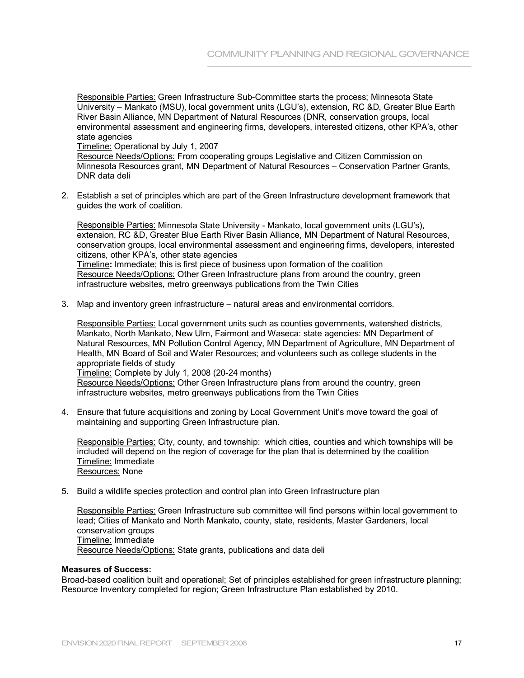Responsible Parties: Green Infrastructure Sub-Committee starts the process; Minnesota State University – Mankato (MSU), local government units (LGU's), extension, RC &D, Greater Blue Earth River Basin Alliance, MN Department of Natural Resources (DNR, conservation groups, local environmental assessment and engineering firms, developers, interested citizens, other KPA's, other state agencies

Timeline: Operational by July 1, 2007

Resource Needs/Options: From cooperating groups Legislative and Citizen Commission on Minnesota Resources grant, MN Department of Natural Resources – Conservation Partner Grants, DNR data deli

2. Establish a set of principles which are part of the Green Infrastructure development framework that guides the work of coalition.

Responsible Parties: Minnesota State University - Mankato, local government units (LGU's), extension, RC &D, Greater Blue Earth River Basin Alliance, MN Department of Natural Resources, conservation groups, local environmental assessment and engineering firms, developers, interested citizens, other KPA's, other state agencies Timeline**:** Immediate; this is first piece of business upon formation of the coalition Resource Needs/Options: Other Green Infrastructure plans from around the country, green infrastructure websites, metro greenways publications from the Twin Cities

3. Map and inventory green infrastructure – natural areas and environmental corridors.

Responsible Parties: Local government units such as counties governments, watershed districts, Mankato, North Mankato, New Ulm, Fairmont and Waseca: state agencies: MN Department of Natural Resources, MN Pollution Control Agency, MN Department of Agriculture, MN Department of Health, MN Board of Soil and Water Resources; and volunteers such as college students in the appropriate fields of study

Timeline: Complete by July 1, 2008 (20-24 months) Resource Needs/Options: Other Green Infrastructure plans from around the country, green infrastructure websites, metro greenways publications from the Twin Cities

4. Ensure that future acquisitions and zoning by Local Government Unit's move toward the goal of maintaining and supporting Green Infrastructure plan.

Responsible Parties: City, county, and township: which cities, counties and which townships will be included will depend on the region of coverage for the plan that is determined by the coalition Timeline: Immediate Resources: None

5. Build a wildlife species protection and control plan into Green Infrastructure plan

Responsible Parties: Green Infrastructure sub committee will find persons within local government to lead; Cities of Mankato and North Mankato, county, state, residents, Master Gardeners, local conservation groups Timeline: Immediate Resource Needs/Options: State grants, publications and data deli

# **Measures of Success:**

Broad-based coalition built and operational; Set of principles established for green infrastructure planning; Resource Inventory completed for region; Green Infrastructure Plan established by 2010.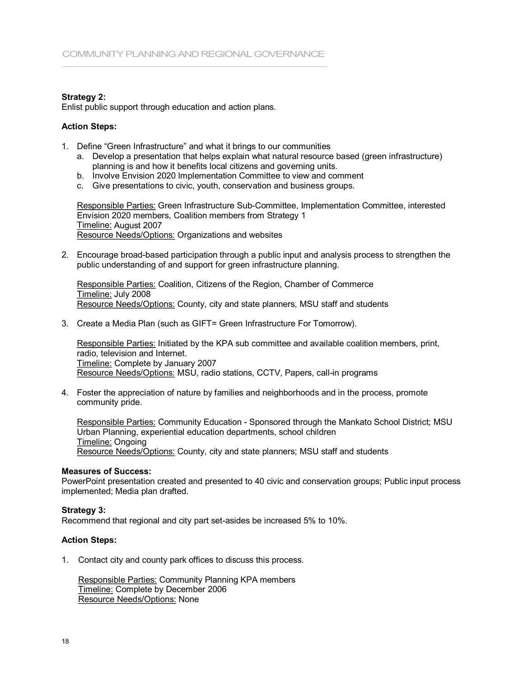# **Strategy 2:**

Enlist public support through education and action plans.

## **Action Steps:**

- 1. Define "Green Infrastructure" and what it brings to our communities
	- a. Develop a presentation that helps explain what natural resource based (green infrastructure) planning is and how it benefits local citizens and governing units. a. Develop a presentation that helps explain what natural resource based (gree planning is and how it benefits local citizens and governing units.<br>b. Involve Envision 2020 Implementation Committee to view and comment<br>c. Gi planning is and how it benefits local citizens and governing units.<br>b. Involve Envision 2020 Implementation Committee to view and comment<br>c. Give presentations to civic, youth, conservation and business groups.
	-
	-

Responsible Parties: Green Infrastructure Sub-Committee, Implementation Committee, interested Envision 2020 members, Coalition members from Strategy 1 Timeline: August 2007 Resource Needs/Options: Organizations and websites

2. Encourage broad-based participation through a public input and analysis process to strengthen the public understanding of and support for green infrastructure planning.

Responsible Parties: Coalition, Citizens of the Region, Chamber of Commerce Timeline: July 2008 Resource Needs/Options: County, city and state planners, MSU staff and students

3. Create a Media Plan (such as GIFT= Green Infrastructure For Tomorrow).

Responsible Parties: Initiated by the KPA sub committee and available coalition members, print, radio, television and Internet. Timeline: Complete by January 2007 Resource Needs/Options: MSU, radio stations, CCTV, Papers, call-in programs

4. Foster the appreciation of nature by families and neighborhoods and in the process, promote community pride.

Responsible Parties: Community Education - Sponsored through the Mankato School District; MSU Urban Planning, experiential education departments, school children Timeline: Ongoing Resource Needs/Options: County, city and state planners; MSU staff and students

#### **Measures of Success:**

PowerPoint presentation created and presented to 40 civic and conservation groups; Public input process implemented; Media plan drafted.

# **Strategy 3:**

Recommend that regional and city part set-asides be increased 5% to 10%.

# **Action Steps:**

1. Contact city and county park offices to discuss this process.

Responsible Parties: Community Planning KPA members Timeline: Complete by December 2006 Resource Needs/Options: None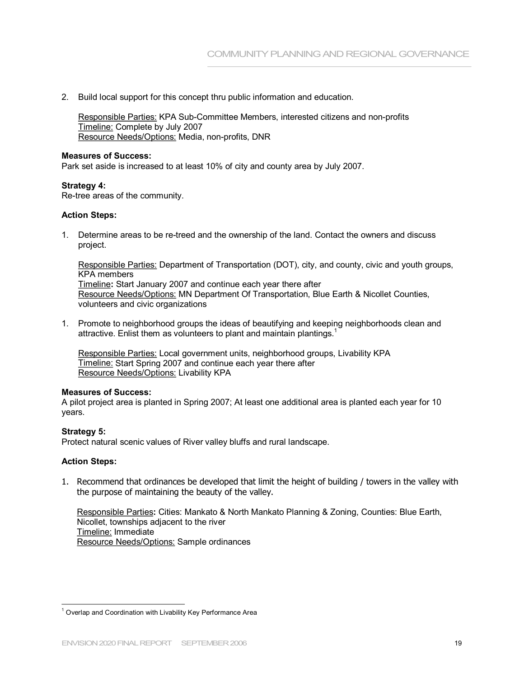2. Build local support for this concept thru public information and education.

Responsible Parties: KPA Sub-Committee Members, interested citizens and non-profits Timeline: Complete by July 2007 Resource Needs/Options: Media, non-profits, DNR

#### **Measures of Success:**

Park set aside is increased to at least 10% of city and county area by July 2007.

## **Strategy 4:**

Re-tree areas of the community.

## **Action Steps:**

1. Determine areas to be re-treed and the ownership of the land. Contact the owners and discuss project.

Responsible Parties: Department of Transportation (DOT), city, and county, civic and youth groups, KPA members Timeline**:** Start January 2007 and continue each year there after Resource Needs/Options: MN Department Of Transportation, Blue Earth & Nicollet Counties, volunteers and civic organizations

1. Promote to neighborhood groups the ideas of beautifying and keeping neighborhoods clean and attractive. Enlist them as volunteers to plant and maintain plantings.

Responsible Parties: Local government units, neighborhood groups, Livability KPA Timeline: Start Spring 2007 and continue each year there after Resource Needs/Options: Livability KPA

#### **Measures of Success:**

A pilot project area is planted in Spring 2007; At least one additional area is planted each year for 10 years.

# **Strategy 5:**

Protect natural scenic values of River valley bluffs and rural landscape.

# **Action Steps:**

1. Recommend that ordinances be developed that limit the height of building / towers in the valley with the purpose of maintaining the beauty of the valley.

Responsible Parties**:** Cities: Mankato & North Mankato Planning & Zoning, Counties: Blue Earth, Nicollet, townships adjacent to the river Timeline: Immediate Resource Needs/Options: Sample ordinances

 $1$  Overlap and Coordination with Livability Key Performance Area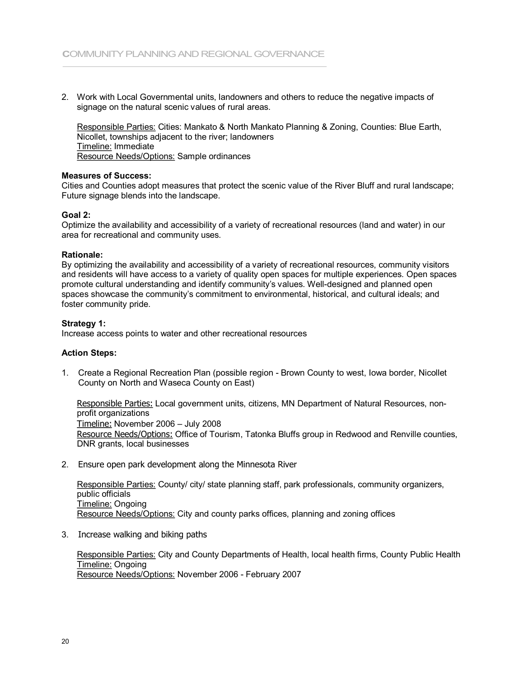2. Work with Local Governmental units, landowners and others to reduce the negative impacts of signage on the natural scenic values of rural areas.

Responsible Parties: Cities: Mankato & North Mankato Planning & Zoning, Counties: Blue Earth, Nicollet, townships adjacent to the river; landowners Timeline: Immediate Resource Needs/Options: Sample ordinances

# **Measures of Success:**

Cities and Counties adopt measures that protect the scenic value of the River Bluff and rural landscape; Future signage blends into the landscape.

#### **Goal 2:**

Optimize the availability and accessibility of a variety of recreational resources (land and water) in our area for recreational and community uses.

#### **Rationale:**

By optimizing the availability and accessibility of a variety of recreational resources, community visitors and residents will have access to a variety of quality open spaces for multiple experiences. Open spaces promote cultural understanding and identify community's values. Well-designed and planned open spaces showcase the community's commitment to environmental, historical, and cultural ideals; and foster community pride.

## **Strategy 1:**

Increase access points to water and other recreational resources

#### **Action Steps:**

1. Create a Regional Recreation Plan (possible region - Brown County to west, Iowa border, Nicollet County on North and Waseca County on East)

Responsible Parties: Local government units, citizens, MN Department of Natural Resources, non profit organizations Timeline: November 2006 – July 2008 Resource Needs/Options: Office of Tourism, Tatonka Bluffs group in Redwood and Renville counties, DNR grants, local businesses

2. Ensure open park development along the Minnesota River

Responsible Parties: County/ city/ state planning staff, park professionals, community organizers, public officials Timeline: Ongoing Resource Needs/Options: City and county parks offices, planning and zoning offices

3. Increase walking and biking paths

Responsible Parties: City and County Departments of Health, local health firms, County Public Health Timeline: Ongoing Resource Needs/Options: November 2006 February 2007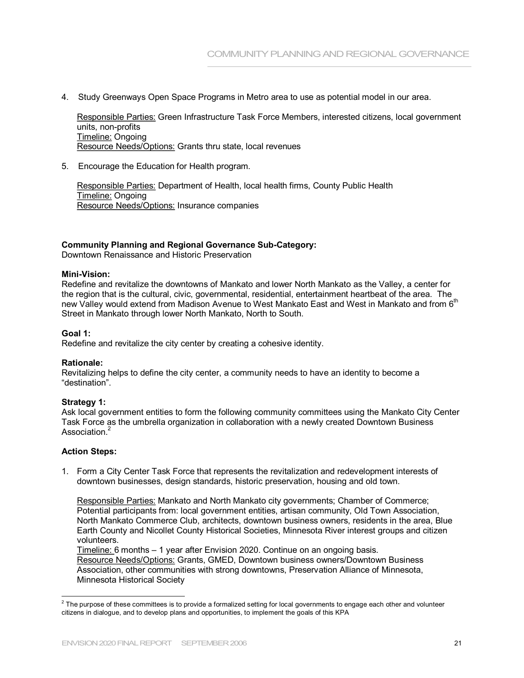4. Study Greenways Open Space Programs in Metro area to use as potential model in our area.

Responsible Parties: Green Infrastructure Task Force Members, interested citizens, local government units, non-profits Timeline: Ongoing Resource Needs/Options: Grants thru state, local revenues<br>5. Encourage the Education for Health program.

Responsible Parties: Department of Health, local health firms, County Public Health Timeline: Ongoing Resource Needs/Options: Insurance companies

# **Community Planning and Regional Governance Sub-Category:**

Downtown Renaissance and Historic Preservation

## **Mini-Vision:**

Redefine and revitalize the downtowns of Mankato and lower North Mankato as the Valley, a center for the region that is the cultural, civic, governmental, residential, entertainment heartbeat of the area. The new Valley would extend from Madison Avenue to West Mankato East and West in Mankato and from  $6^{\rm th}$ Street in Mankato through lower North Mankato, North to South.

## **Goal 1:**

Redefine and revitalize the city center by creating a cohesive identity.

# **Rationale:**

Revitalizing helps to define the city center, a community needs to have an identity to become a "destination".

# **Strategy 1:**

Ask local government entities to form the following community committees using the Mankato City Center Task Force as the umbrella organization in collaboration with a newly created Downtown Business Association<sup>2</sup>

# **Action Steps:**

1. Form a City Center Task Force that represents the revitalization and redevelopment interests of downtown businesses, design standards, historic preservation, housing and old town.

Responsible Parties: Mankato and North Mankato city governments; Chamber of Commerce; Potential participants from: local government entities, artisan community, Old Town Association, North Mankato Commerce Club, architects, downtown business owners, residents in the area, Blue Earth County and Nicollet County Historical Societies, Minnesota River interest groups and citizen volunteers.

Timeline: 6 months – 1 year after Envision 2020. Continue on an ongoing basis. Resource Needs/Options: Grants, GMED, Downtown business owners/Downtown Business Association, other communities with strong downtowns, Preservation Alliance of Minnesota, Minnesota Historical Society

 $2$  The purpose of these committees is to provide a formalized setting for local governments to engage each other and volunteer citizens in dialogue, and to develop plans and opportunities, to implement the goals of this KPA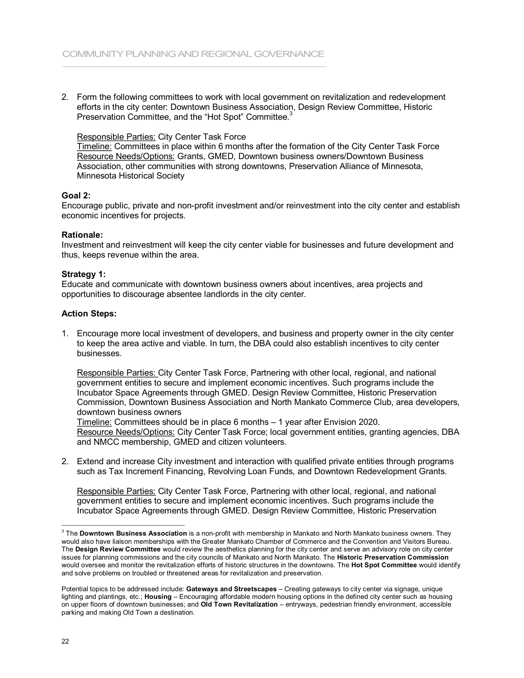2. Form the following committees to work with local government on revitalization and redevelopment efforts in the city center: Downtown Business Association, Design Review Committee, Historic Preservation Committee, and the "Hot Spot" Committee.

## Responsible Parties: City Center Task Force

Timeline: Committees in place within 6 months after the formation of the City Center Task Force Resource Needs/Options: Grants, GMED, Downtown business owners/Downtown Business Association, other communities with strong downtowns, Preservation Alliance of Minnesota, Minnesota Historical Society

# **Goal 2:**

Encourage public, private and non-profit investment and/or reinvestment into the city center and establish economic incentives for projects.

## **Rationale:**

Investment and reinvestment will keep the city center viable for businesses and future development and thus, keeps revenue within the area.

## **Strategy 1:**

Educate and communicate with downtown business owners about incentives, area projects and opportunities to discourage absentee landlords in the city center.

## **Action Steps:**

1. Encourage more local investment of developers, and business and property owner in the city center to keep the area active and viable. In turn, the DBA could also establish incentives to city center businesses.

Responsible Parties: City Center Task Force, Partnering with other local, regional, and national government entities to secure and implement economic incentives. Such programs include the Incubator Space Agreements through GMED. Design Review Committee, Historic Preservation Commission, Downtown Business Association and North Mankato Commerce Club, area developers, downtown business owners

Timeline: Committees should be in place 6 months – 1 year after Envision 2020. Resource Needs/Options: City Center Task Force; local government entities, granting agencies, DBA and NMCC membership, GMED and citizen volunteers.

2. Extend and increase City investment and interaction with qualified private entities through programs such as Tax Increment Financing, Revolving Loan Funds, and Downtown Redevelopment Grants.

Responsible Parties: City Center Task Force, Partnering with other local, regional, and national government entities to secure and implement economic incentives. Such programs include the Incubator Space Agreements through GMED. Design Review Committee, Historic Preservation

<sup>&</sup>lt;sup>3</sup> The **Downtown Business Association** is a non-profit with membership in Mankato and North Mankato business owners. They would also have liaison memberships with the Greater Mankato Chamber of Commerce and the Convention and Visitors Bureau. The **Design Review Committee** would review the aesthetics planning for the city center and serve an advisory role on city center issues for planning commissions and the city councils of Mankato and North Mankato. The **Historic Preservation Commission** would oversee and monitor the revitalization efforts of historic structures in the downtowns. The **Hot Spot Committee** would identify and solve problems on troubled or threatened areas for revitalization and preservation.

Potential topics to be addressed include: **Gateways and Streetscapes** – Creating gateways to city center via signage, unique lighting and plantings, etc.; **Housing** – Encouraging affordable modern housing options in the defined city center such as housing on upper floors of downtown businesses; and **Old Town Revitalization** – entryways, pedestrian friendly environment, accessible parking and making Old Town a destination.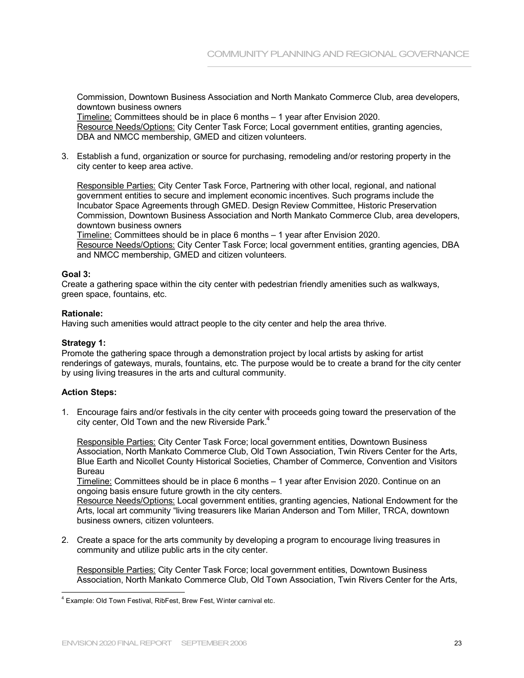Commission, Downtown Business Association and North Mankato Commerce Club, area developers, downtown business owners

Timeline: Committees should be in place 6 months – 1 year after Envision 2020. Resource Needs/Options: City Center Task Force; Local government entities, granting agencies, DBA and NMCC membership, GMED and citizen volunteers.

3. Establish a fund, organization or source for purchasing, remodeling and/or restoring property in the city center to keep area active.

Responsible Parties: City Center Task Force, Partnering with other local, regional, and national government entities to secure and implement economic incentives. Such programs include the Incubator Space Agreements through GMED. Design Review Committee, Historic Preservation Commission, Downtown Business Association and North Mankato Commerce Club, area developers, downtown business owners

Timeline: Committees should be in place 6 months - 1 year after Envision 2020. Resource Needs/Options: City Center Task Force; local government entities, granting agencies, DBA and NMCC membership, GMED and citizen volunteers.

# **Goal 3:**

Create a gathering space within the city center with pedestrian friendly amenities such as walkways, green space, fountains, etc.

# **Rationale:**

Having such amenities would attract people to the city center and help the area thrive.

# **Strategy 1:**

Promote the gathering space through a demonstration project by local artists by asking for artist renderings of gateways, murals, fountains, etc. The purpose would be to create a brand for the city center by using living treasures in the arts and cultural community.

# **Action Steps:**

1. Encourage fairs and/or festivals in the city center with proceeds going toward the preservation of the city center, Old Town and the new Riverside Park.<sup>4</sup>

Responsible Parties: City Center Task Force; local government entities, Downtown Business Association, North Mankato Commerce Club, Old Town Association, Twin Rivers Center for the Arts, Blue Earth and Nicollet County Historical Societies, Chamber of Commerce, Convention and Visitors Bureau

Timeline: Committees should be in place 6 months – 1 year after Envision 2020. Continue on an ongoing basis ensure future growth in the city centers.

Resource Needs/Options: Local government entities, granting agencies, National Endowment for the Arts, local art community "living treasurers like Marian Anderson and Tom Miller, TRCA, downtown business owners, citizen volunteers.

2. Create a space for the arts community by developing a program to encourage living treasures in community and utilize public arts in the city center.

Responsible Parties: City Center Task Force; local government entities, Downtown Business Association, North Mankato Commerce Club, Old Town Association, Twin Rivers Center for the Arts,

<sup>4</sup>Example: Old Town Festival, RibFest, Brew Fest, Winter carnival etc.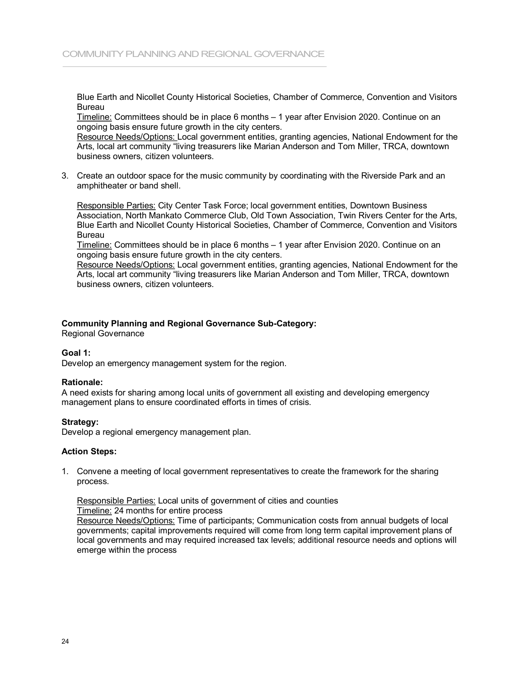Blue Earth and Nicollet County Historical Societies, Chamber of Commerce, Convention and Visitors Bureau

Timeline: Committees should be in place 6 months – 1 year after Envision 2020. Continue on an ongoing basis ensure future growth in the city centers.

Resource Needs/Options: Local government entities, granting agencies, National Endowment for the Arts, local art community "living treasurers like Marian Anderson and Tom Miller, TRCA, downtown business owners, citizen volunteers.

3. Create an outdoor space for the music community by coordinating with the Riverside Park and an amphitheater or band shell.

Responsible Parties: City Center Task Force; local government entities, Downtown Business Association, North Mankato Commerce Club, Old Town Association, Twin Rivers Center for the Arts, Blue Earth and Nicollet County Historical Societies, Chamber of Commerce, Convention and Visitors Bureau

Timeline: Committees should be in place 6 months – 1 year after Envision 2020. Continue on an ongoing basis ensure future growth in the city centers.

Resource Needs/Options: Local government entities, granting agencies, National Endowment for the Arts, local art community "living treasurers like Marian Anderson and Tom Miller, TRCA, downtown business owners, citizen volunteers.

# **Community Planning and Regional Governance Sub-Category:**

Regional Governance

# **Goal 1:**

Develop an emergency management system for the region.

# **Rationale:**

A need exists for sharing among local units of government all existing and developing emergency management plans to ensure coordinated efforts in times of crisis.

# **Strategy:**

Develop a regional emergency management plan.

#### **Action Steps:**

1. Convene a meeting of local government representatives to create the framework for the sharing process.

Responsible Parties: Local units of government of cities and counties Timeline: 24 months for entire process Resource Needs/Options: Time of participants; Communication costs from annual budgets of local governments; capital improvements required will come from long term capital improvement plans of local governments and may required increased tax levels; additional resource needs and options will emerge within the process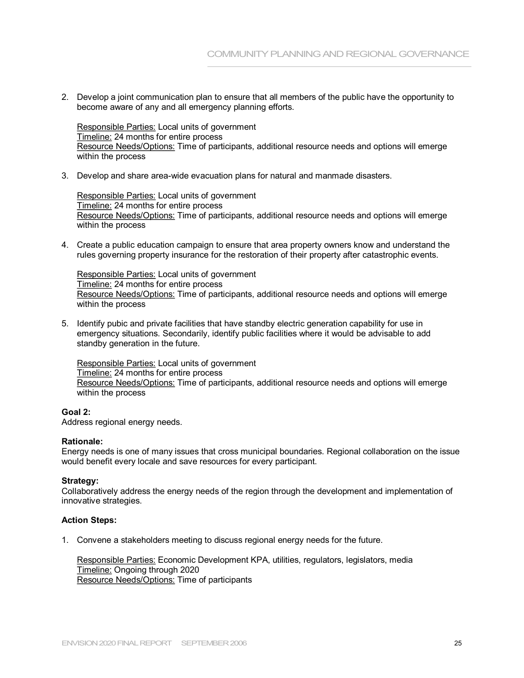2. Develop a joint communication plan to ensure that all members of the public have the opportunity to become aware of any and all emergency planning efforts.

Responsible Parties: Local units of government Timeline: 24 months for entire process Resource Needs/Options: Time of participants, additional resource needs and options will emerge within the process

3. Develop and share area-wide evacuation plans for natural and manmade disasters.

Responsible Parties: Local units of government Timeline: 24 months for entire process Resource Needs/Options: Time of participants, additional resource needs and options will emerge within the process

4. Create a public education campaign to ensure that area property owners know and understand the rules governing property insurance for the restoration of their property after catastrophic events.

Responsible Parties: Local units of government Timeline: 24 months for entire process Resource Needs/Options: Time of participants, additional resource needs and options will emerge within the process

5. Identify pubic and private facilities that have standby electric generation capability for use in emergency situations. Secondarily, identify public facilities where it would be advisable to add standby generation in the future.

Responsible Parties: Local units of government Timeline: 24 months for entire process Resource Needs/Options: Time of participants, additional resource needs and options will emerge within the process

# **Goal 2:**

Address regional energy needs.

# **Rationale:**

Energy needs is one of many issues that cross municipal boundaries. Regional collaboration on the issue would benefit every locale and save resources for every participant.

# **Strategy:**

Collaboratively address the energy needs of the region through the development and implementation of innovative strategies.

# **Action Steps:**

1. Convene a stakeholders meeting to discuss regional energy needs for the future.

Responsible Parties: Economic Development KPA, utilities, regulators, legislators, media Timeline: Ongoing through 2020 Resource Needs/Options: Time of participants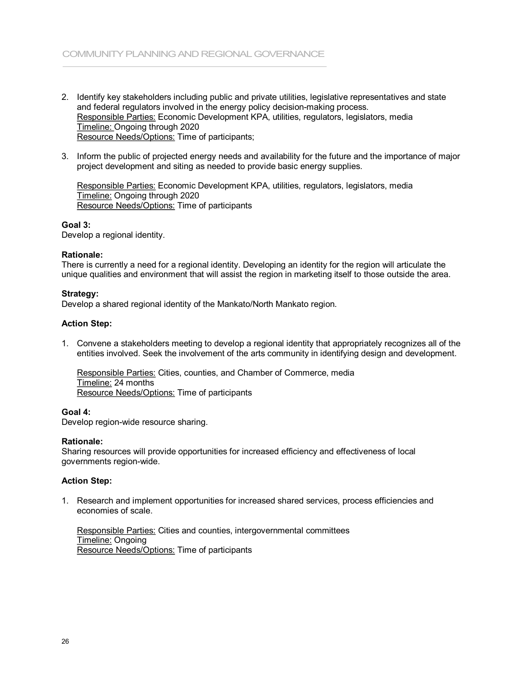- 2. Identify key stakeholders including public and private utilities, legislative representatives and state and federal regulators involved in the energy policy decision-making process. Responsible Parties: Economic Development KPA, utilities, regulators, legislators, media Timeline: Ongoing through 2020 Resource Needs/Options: Time of participants;
- 3. Inform the public of projected energy needs and availability for the future and the importance of major project development and siting as needed to provide basic energy supplies.

Responsible Parties: Economic Development KPA, utilities, regulators, legislators, media Timeline: Ongoing through 2020 Resource Needs/Options: Time of participants

# **Goal 3:**

Develop a regional identity.

# **Rationale:**

There is currently a need for a regional identity. Developing an identity for the region will articulate the unique qualities and environment that will assist the region in marketing itself to those outside the area.

# **Strategy:**

Develop a shared regional identity of the Mankato/North Mankato region.

# **Action Step:**

1. Convene a stakeholders meeting to develop a regional identity that appropriately recognizes all of the entities involved. Seek the involvement of the arts community in identifying design and development.

Responsible Parties: Cities, counties, and Chamber of Commerce, media Timeline: 24 months Resource Needs/Options: Time of participants

# **Goal 4:**

Develop region-wide resource sharing.

## **Rationale:**

Sharing resources will provide opportunities for increased efficiency and effectiveness of local governments region-wide.

# **Action Step:**

1. Research and implement opportunities for increased shared services, process efficiencies and economies of scale.

Responsible Parties: Cities and counties, intergovernmental committees Timeline: Ongoing Resource Needs/Options: Time of participants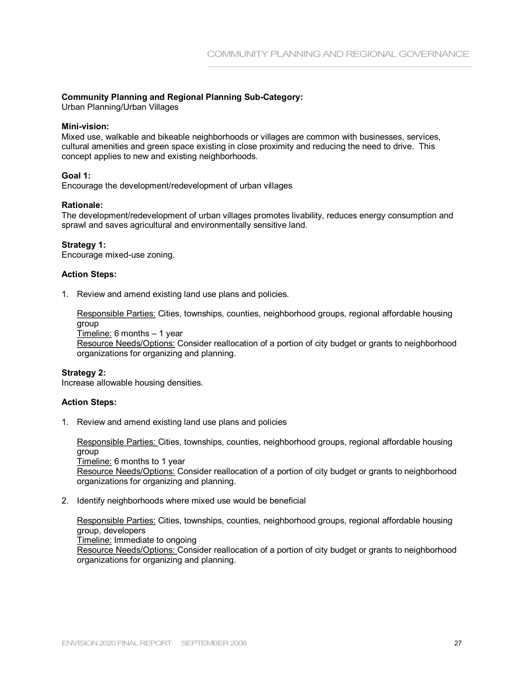# **Community Planning and Regional Planning Sub-Category:**

Urban Planning/Urban Villages

## **Mini-vision:**

Mixed use, walkable and bikeable neighborhoods or villages are common with businesses, services, cultural amenities and green space existing in close proximity and reducing the need to drive. This concept applies to new and existing neighborhoods.

# **Goal 1:**

Encourage the development/redevelopment of urban villages

# **Rationale:**

The development/redevelopment of urban villages promotes livability, reduces energy consumption and sprawl and saves agricultural and environmentally sensitive land.

# **Strategy 1:**

Encourage mixed-use zoning.

# **Action Steps:**

1. Review and amend existing land use plans and policies.

Responsible Parties: Cities, townships, counties, neighborhood groups, regional affordable housing group

Timeline: 6 months – 1 year Resource Needs/Options: Consider reallocation of a portion of city budget or grants to neighborhood organizations for organizing and planning.

# **Strategy 2:**

Increase allowable housing densities.

# **Action Steps:**

1. Review and amend existing land use plans and policies

Responsible Parties: Cities, townships, counties, neighborhood groups, regional affordable housing group Timeline: 6 months to 1 year Resource Needs/Options: Consider reallocation of a portion of city budget or grants to neighborhood organizations for organizing and planning.

2. Identify neighborhoods where mixed use would be beneficial

Responsible Parties: Cities, townships, counties, neighborhood groups, regional affordable housing group, developers Timeline: Immediate to ongoing Resource Needs/Options: Consider reallocation of a portion of city budget or grants to neighborhood organizations for organizing and planning.